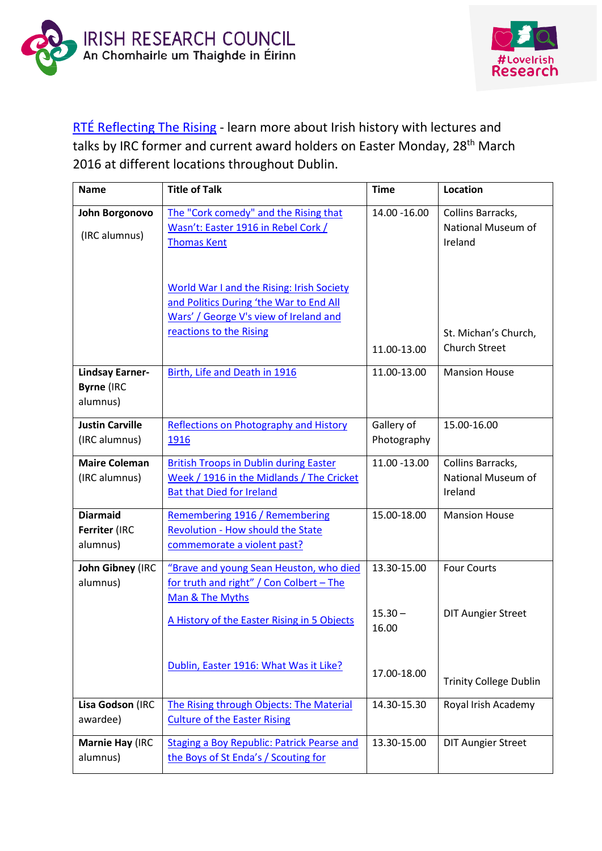



## [RTÉ Reflecting The Rising](https://1916.rte.ie/) - learn more about Irish history with lectures and talks by IRC former and current award holders on Easter Monday, 28<sup>th</sup> March 2016 at different locations throughout Dublin.

| <b>Name</b>                                             | <b>Title of Talk</b>                                                                                                                                             | <b>Time</b>                       | Location                                           |
|---------------------------------------------------------|------------------------------------------------------------------------------------------------------------------------------------------------------------------|-----------------------------------|----------------------------------------------------|
| John Borgonovo<br>(IRC alumnus)                         | The "Cork comedy" and the Rising that<br>Wasn't: Easter 1916 in Rebel Cork /<br><b>Thomas Kent</b>                                                               | 14.00 - 16.00                     | Collins Barracks,<br>National Museum of<br>Ireland |
|                                                         | <b>World War I and the Rising: Irish Society</b><br>and Politics During 'the War to End All<br>Wars' / George V's view of Ireland and<br>reactions to the Rising | 11.00-13.00                       | St. Michan's Church,<br><b>Church Street</b>       |
| <b>Lindsay Earner-</b><br><b>Byrne (IRC</b><br>alumnus) | Birth, Life and Death in 1916                                                                                                                                    | 11.00-13.00                       | <b>Mansion House</b>                               |
| <b>Justin Carville</b><br>(IRC alumnus)                 | Reflections on Photography and History<br>1916                                                                                                                   | Gallery of<br>Photography         | 15.00-16.00                                        |
| <b>Maire Coleman</b><br>(IRC alumnus)                   | <b>British Troops in Dublin during Easter</b><br>Week / 1916 in the Midlands / The Cricket<br><b>Bat that Died for Ireland</b>                                   | 11.00 -13.00                      | Collins Barracks,<br>National Museum of<br>Ireland |
| <b>Diarmaid</b><br>Ferriter (IRC<br>alumnus)            | Remembering 1916 / Remembering<br>Revolution - How should the State<br>commemorate a violent past?                                                               | 15.00-18.00                       | <b>Mansion House</b>                               |
| John Gibney (IRC<br>alumnus)                            | "Brave and young Sean Heuston, who died<br>for truth and right" / Con Colbert - The<br>Man & The Myths<br>A History of the Easter Rising in 5 Objects            | 13.30-15.00<br>$15.30 -$<br>16.00 | <b>Four Courts</b><br><b>DIT Aungier Street</b>    |
|                                                         | Dublin, Easter 1916: What Was it Like?                                                                                                                           | 17.00-18.00                       | <b>Trinity College Dublin</b>                      |
| Lisa Godson (IRC<br>awardee)                            | The Rising through Objects: The Material<br><b>Culture of the Easter Rising</b>                                                                                  | 14.30-15.30                       | Royal Irish Academy                                |
| Marnie Hay (IRC<br>alumnus)                             | <b>Staging a Boy Republic: Patrick Pearse and</b><br>the Boys of St Enda's / Scouting for                                                                        | 13.30-15.00                       | <b>DIT Aungier Street</b>                          |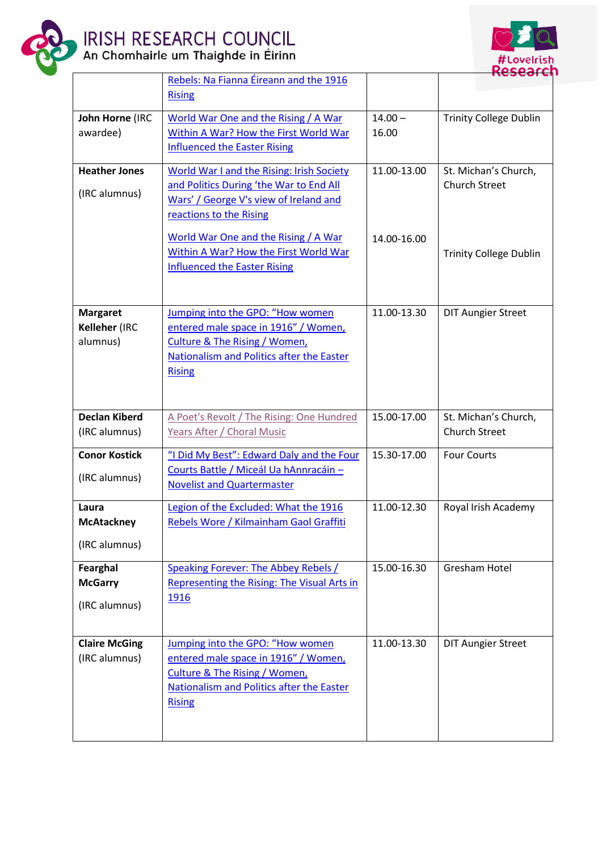

## IRISH RESEARCH COUNCIL<br>An Chomhairle um Thaighde in Éirinn



|                                              | Rebels: Na Fianna Eireann and the 1916<br><b>Rising</b>                                                                                                                                   |                    |                                              |
|----------------------------------------------|-------------------------------------------------------------------------------------------------------------------------------------------------------------------------------------------|--------------------|----------------------------------------------|
| John Horne (IRC<br>awardee)                  | World War One and the Rising / A War<br>Within A War? How the First World War<br><b>Influenced the Easter Rising</b>                                                                      | $14.00 -$<br>16.00 | <b>Trinity College Dublin</b>                |
| <b>Heather Jones</b><br>(IRC alumnus)        | <b>World War I and the Rising: Irish Society</b><br>and Politics During 'the War to End All<br>Wars' / George V's view of Ireland and<br>reactions to the Rising                          | 11.00-13.00        | St. Michan's Church,<br><b>Church Street</b> |
|                                              | World War One and the Rising / A War<br>Within A War? How the First World War<br><b>Influenced the Easter Rising</b>                                                                      | 14.00-16.00        | <b>Trinity College Dublin</b>                |
| <b>Margaret</b><br>Kelleher (IRC<br>alumnus) | Jumping into the GPO: "How women<br>entered male space in 1916" / Women,<br><b>Culture &amp; The Rising / Women,</b><br>Nationalism and Politics after the Easter<br><b>Rising</b>        | 11.00-13.30        | <b>DIT Aungier Street</b>                    |
| <b>Declan Kiberd</b><br>(IRC alumnus)        | A Poet's Revolt / The Rising: One Hundred<br>Years After / Choral Music                                                                                                                   | 15.00-17.00        | St. Michan's Church,<br><b>Church Street</b> |
| <b>Conor Kostick</b><br>(IRC alumnus)        | "I Did My Best": Edward Daly and the Four<br>Courts Battle / Miceál Ua hAnnracáin -<br><b>Novelist and Quartermaster</b>                                                                  | 15.30-17.00        | <b>Four Courts</b>                           |
| Laura<br><b>McAtackney</b><br>(IRC alumnus)  | Legion of the Excluded: What the 1916<br>Rebels Wore / Kilmainham Gaol Graffiti                                                                                                           | 11.00-12.30        | Royal Irish Academy                          |
| Fearghal<br><b>McGarry</b><br>(IRC alumnus)  | <b>Speaking Forever: The Abbey Rebels /</b><br>Representing the Rising: The Visual Arts in<br><u>1916</u>                                                                                 | 15.00-16.30        | <b>Gresham Hotel</b>                         |
| <b>Claire McGing</b><br>(IRC alumnus)        | Jumping into the GPO: "How women<br>entered male space in 1916" / Women,<br><b>Culture &amp; The Rising / Women,</b><br><b>Nationalism and Politics after the Easter</b><br><b>Rising</b> | 11.00-13.30        | <b>DIT Aungier Street</b>                    |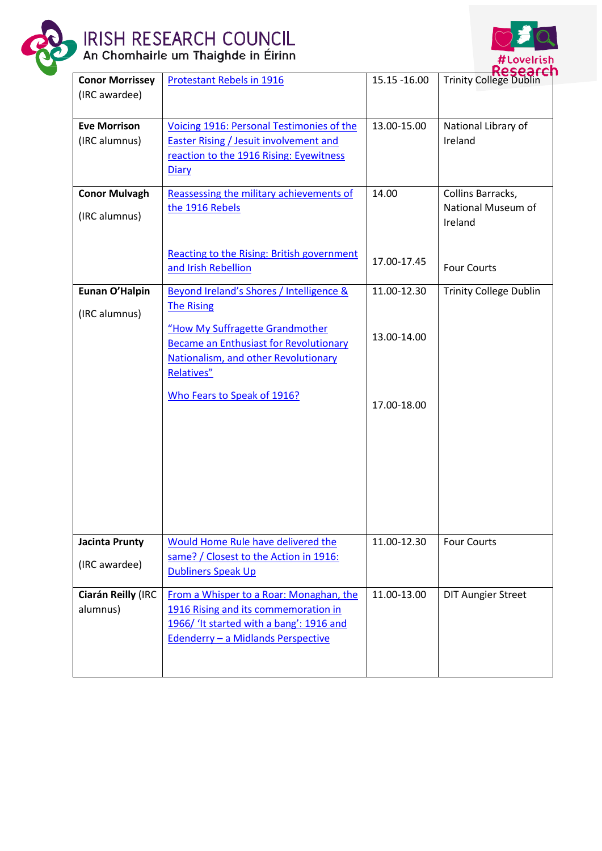

## IRISH RESEARCH COUNCIL<br>An Chomhairle um Thaighde in Éirinn



| <b>Conor Morrissey</b>                 | <b>Protestant Rebels in 1916</b>                                                                                                                                                               | 15.15 - 16.00 | <b>Trinity College Dublin</b>                      |
|----------------------------------------|------------------------------------------------------------------------------------------------------------------------------------------------------------------------------------------------|---------------|----------------------------------------------------|
| (IRC awardee)                          |                                                                                                                                                                                                |               |                                                    |
| <b>Eve Morrison</b><br>(IRC alumnus)   | Voicing 1916: Personal Testimonies of the<br><b>Easter Rising / Jesuit involvement and</b><br>reaction to the 1916 Rising: Eyewitness<br>Diary                                                 | 13.00-15.00   | National Library of<br>Ireland                     |
| <b>Conor Mulvagh</b><br>(IRC alumnus)  | Reassessing the military achievements of<br>the 1916 Rebels<br><b>Reacting to the Rising: British government</b>                                                                               | 14.00         | Collins Barracks,<br>National Museum of<br>Ireland |
|                                        | and Irish Rebellion                                                                                                                                                                            | 17.00-17.45   | <b>Four Courts</b>                                 |
| Eunan O'Halpin<br>(IRC alumnus)        | Beyond Ireland's Shores / Intelligence &<br><b>The Rising</b><br>"How My Suffragette Grandmother                                                                                               | 11.00-12.30   | <b>Trinity College Dublin</b>                      |
|                                        | <b>Became an Enthusiast for Revolutionary</b><br>Nationalism, and other Revolutionary<br>Relatives"                                                                                            | 13.00-14.00   |                                                    |
|                                        | Who Fears to Speak of 1916?                                                                                                                                                                    | 17.00-18.00   |                                                    |
| <b>Jacinta Prunty</b><br>(IRC awardee) | Would Home Rule have delivered the<br>same? / Closest to the Action in 1916:                                                                                                                   | 11.00-12.30   | <b>Four Courts</b>                                 |
| Ciarán Reilly (IRC<br>alumnus)         | <b>Dubliners Speak Up</b><br>From a Whisper to a Roar: Monaghan, the<br>1916 Rising and its commemoration in<br>1966/ 'It started with a bang': 1916 and<br>Edenderry - a Midlands Perspective | 11.00-13.00   | <b>DIT Aungier Street</b>                          |